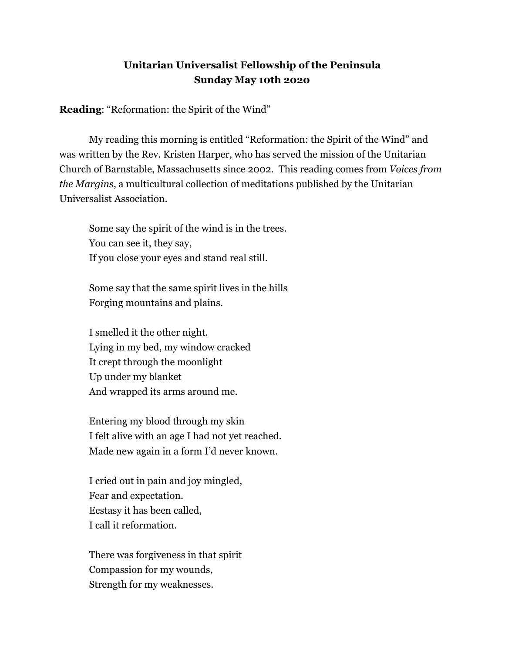## **Unitarian Universalist Fellowship of the Peninsula Sunday May 10th 2020**

**Reading:** "Reformation: the Spirit of the Wind"

My reading this morning is entitled "Reformation: the Spirit of the Wind" and was written by the Rev. Kristen Harper, who has served the mission of the Unitarian Church of Barnstable, Massachusetts since 2002. This reading comes from *Voices from the Margins* , a multicultural collection of meditations published by the Unitarian Universalist Association.

Some say the spirit of the wind is in the trees. You can see it, they say, If you close your eyes and stand real still.

Some say that the same spirit lives in the hills Forging mountains and plains.

I smelled it the other night. Lying in my bed, my window cracked It crept through the moonlight Up under my blanket And wrapped its arms around me.

Entering my blood through my skin I felt alive with an age I had not yet reached. Made new again in a form I'd never known.

I cried out in pain and joy mingled, Fear and expectation. Ecstasy it has been called, I call it reformation.

There was forgiveness in that spirit Compassion for my wounds, Strength for my weaknesses.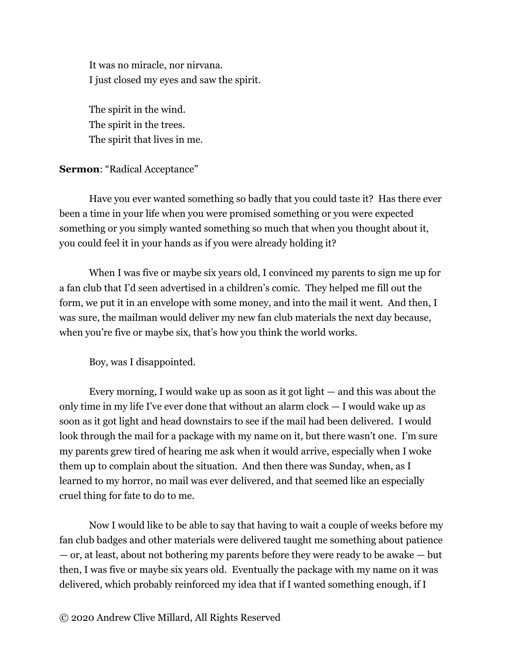It was no miracle, nor nirvana. I just closed my eyes and saw the spirit.

The spirit in the wind. The spirit in the trees. The spirit that lives in me.

## **Sermon: "Radical Acceptance"**

Have you ever wanted something so badly that you could taste it? Has there ever been a time in your life when you were promised something or you were expected something or you simply wanted something so much that when you thought about it, you could feel it in your hands as if you were already holding it?

When I was five or maybe six years old, I convinced my parents to sign me up for a fan club that I'd seen advertised in a children's comic. They helped me fill out the form, we put it in an envelope with some money, and into the mail it went. And then, I was sure, the mailman would deliver my new fan club materials the next day because, when you're five or maybe six, that's how you think the world works.

Boy, was I disappointed.

Every morning, I would wake up as soon as it got light — and this was about the only time in my life I've ever done that without an alarm clock — I would wake up as soon as it got light and head downstairs to see if the mail had been delivered. I would look through the mail for a package with my name on it, but there wasn't one. I'm sure my parents grew tired of hearing me ask when it would arrive, especially when I woke them up to complain about the situation. And then there was Sunday, when, as I learned to my horror, no mail was ever delivered, and that seemed like an especially cruel thing for fate to do to me.

Now I would like to be able to say that having to wait a couple of weeks before my fan club badges and other materials were delivered taught me something about patience — or, at least, about not bothering my parents before they were ready to be awake — but then, I was five or maybe six years old. Eventually the package with my name on it was delivered, which probably reinforced my idea that if I wanted something enough, if I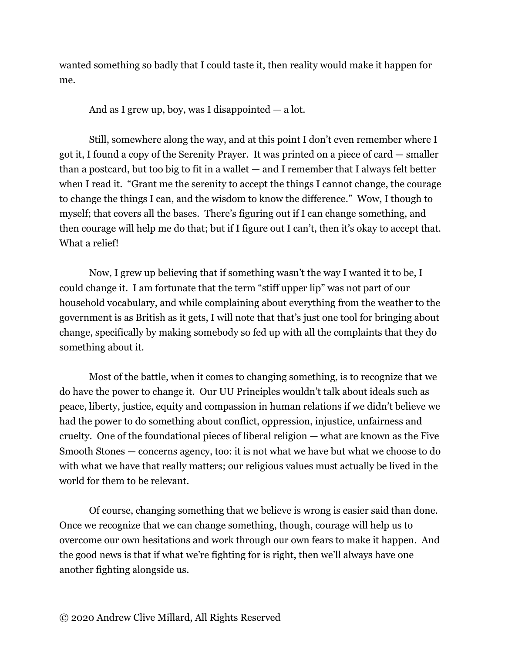wanted something so badly that I could taste it, then reality would make it happen for me.

And as I grew up, boy, was I disappointed  $-$  a lot.

Still, somewhere along the way, and at this point I don't even remember where I got it, I found a copy of the Serenity Prayer. It was printed on a piece of card — smaller than a postcard, but too big to fit in a wallet  $-$  and I remember that I always felt better when I read it. "Grant me the serenity to accept the things I cannot change, the courage to change the things I can, and the wisdom to know the difference." Wow, I though to myself; that covers all the bases. There's figuring out if I can change something, and then courage will help me do that; but if I figure out I can't, then it's okay to accept that. What a relief!

Now, I grew up believing that if something wasn't the way I wanted it to be, I could change it. I am fortunate that the term "stiff upper lip" was not part of our household vocabulary, and while complaining about everything from the weather to the government is as British as it gets, I will note that that's just one tool for bringing about change, specifically by making somebody so fed up with all the complaints that they do something about it.

Most of the battle, when it comes to changing something, is to recognize that we do have the power to change it. Our UU Principles wouldn't talk about ideals such as peace, liberty, justice, equity and compassion in human relations if we didn't believe we had the power to do something about conflict, oppression, injustice, unfairness and cruelty. One of the foundational pieces of liberal religion — what are known as the Five Smooth Stones — concerns agency, too: it is not what we have but what we choose to do with what we have that really matters; our religious values must actually be lived in the world for them to be relevant.

Of course, changing something that we believe is wrong is easier said than done. Once we recognize that we can change something, though, courage will help us to overcome our own hesitations and work through our own fears to make it happen. And the good news is that if what we're fighting for is right, then we'll always have one another fighting alongside us.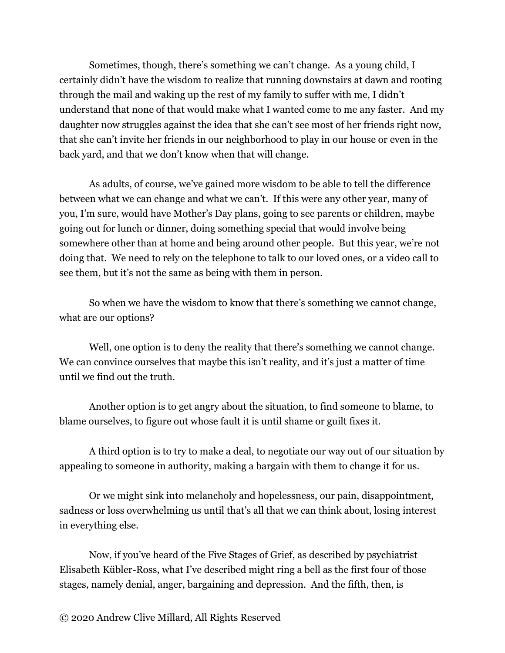Sometimes, though, there's something we can't change. As a young child, I certainly didn't have the wisdom to realize that running downstairs at dawn and rooting through the mail and waking up the rest of my family to suffer with me, I didn't understand that none of that would make what I wanted come to me any faster. And my daughter now struggles against the idea that she can't see most of her friends right now, that she can't invite her friends in our neighborhood to play in our house or even in the back yard, and that we don't know when that will change.

As adults, of course, we've gained more wisdom to be able to tell the difference between what we can change and what we can't. If this were any other year, many of you, I'm sure, would have Mother's Day plans, going to see parents or children, maybe going out for lunch or dinner, doing something special that would involve being somewhere other than at home and being around other people. But this year, we're not doing that. We need to rely on the telephone to talk to our loved ones, or a video call to see them, but it's not the same as being with them in person.

So when we have the wisdom to know that there's something we cannot change, what are our options?

Well, one option is to deny the reality that there's something we cannot change. We can convince ourselves that maybe this isn't reality, and it's just a matter of time until we find out the truth.

Another option is to get angry about the situation, to find someone to blame, to blame ourselves, to figure out whose fault it is until shame or guilt fixes it.

A third option is to try to make a deal, to negotiate our way out of our situation by appealing to someone in authority, making a bargain with them to change it for us.

Or we might sink into melancholy and hopelessness, our pain, disappointment, sadness or loss overwhelming us until that's all that we can think about, losing interest in everything else.

Now, if you've heard of the Five Stages of Grief, as described by psychiatrist Elisabeth Kübler-Ross, what I've described might ring a bell as the first four of those stages, namely denial, anger, bargaining and depression. And the fifth, then, is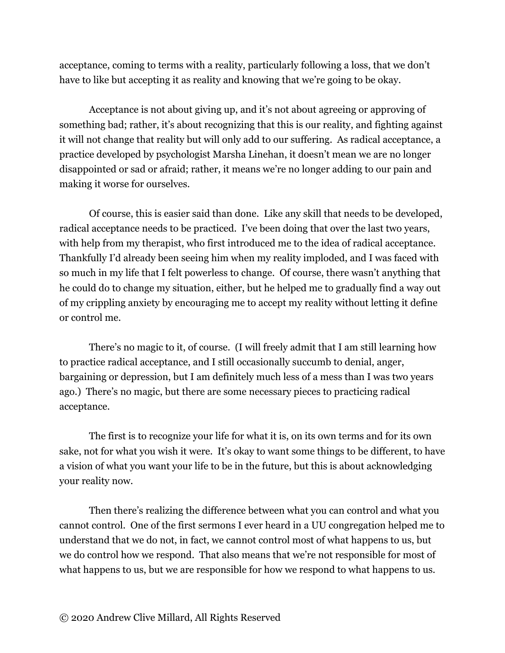acceptance, coming to terms with a reality, particularly following a loss, that we don't have to like but accepting it as reality and knowing that we're going to be okay.

Acceptance is not about giving up, and it's not about agreeing or approving of something bad; rather, it's about recognizing that this is our reality, and fighting against it will not change that reality but will only add to our suffering. As radical acceptance, a practice developed by psychologist Marsha Linehan, it doesn't mean we are no longer disappointed or sad or afraid; rather, it means we're no longer adding to our pain and making it worse for ourselves.

Of course, this is easier said than done. Like any skill that needs to be developed, radical acceptance needs to be practiced. I've been doing that over the last two years, with help from my therapist, who first introduced me to the idea of radical acceptance. Thankfully I'd already been seeing him when my reality imploded, and I was faced with so much in my life that I felt powerless to change. Of course, there wasn't anything that he could do to change my situation, either, but he helped me to gradually find a way out of my crippling anxiety by encouraging me to accept my reality without letting it define or control me.

There's no magic to it, of course. (I will freely admit that I am still learning how to practice radical acceptance, and I still occasionally succumb to denial, anger, bargaining or depression, but I am definitely much less of a mess than I was two years ago.) There's no magic, but there are some necessary pieces to practicing radical acceptance.

The first is to recognize your life for what it is, on its own terms and for its own sake, not for what you wish it were. It's okay to want some things to be different, to have a vision of what you want your life to be in the future, but this is about acknowledging your reality now.

Then there's realizing the difference between what you can control and what you cannot control. One of the first sermons I ever heard in a UU congregation helped me to understand that we do not, in fact, we cannot control most of what happens to us, but we do control how we respond. That also means that we're not responsible for most of what happens to us, but we are responsible for how we respond to what happens to us.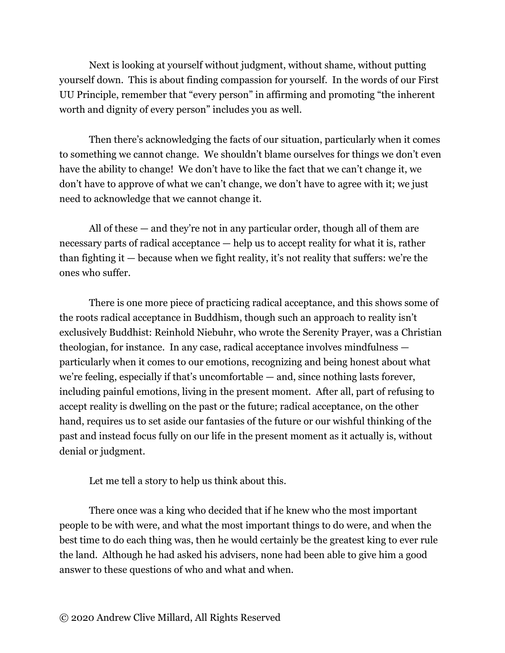Next is looking at yourself without judgment, without shame, without putting yourself down. This is about finding compassion for yourself. In the words of our First UU Principle, remember that "every person" in affirming and promoting "the inherent worth and dignity of every person" includes you as well.

Then there's acknowledging the facts of our situation, particularly when it comes to something we cannot change. We shouldn't blame ourselves for things we don't even have the ability to change! We don't have to like the fact that we can't change it, we don't have to approve of what we can't change, we don't have to agree with it; we just need to acknowledge that we cannot change it.

All of these — and they're not in any particular order, though all of them are necessary parts of radical acceptance — help us to accept reality for what it is, rather than fighting it — because when we fight reality, it's not reality that suffers: we're the ones who suffer.

There is one more piece of practicing radical acceptance, and this shows some of the roots radical acceptance in Buddhism, though such an approach to reality isn't exclusively Buddhist: Reinhold Niebuhr, who wrote the Serenity Prayer, was a Christian theologian, for instance. In any case, radical acceptance involves mindfulness particularly when it comes to our emotions, recognizing and being honest about what we're feeling, especially if that's uncomfortable — and, since nothing lasts forever, including painful emotions, living in the present moment. After all, part of refusing to accept reality is dwelling on the past or the future; radical acceptance, on the other hand, requires us to set aside our fantasies of the future or our wishful thinking of the past and instead focus fully on our life in the present moment as it actually is, without denial or judgment.

Let me tell a story to help us think about this.

There once was a king who decided that if he knew who the most important people to be with were, and what the most important things to do were, and when the best time to do each thing was, then he would certainly be the greatest king to ever rule the land. Although he had asked his advisers, none had been able to give him a good answer to these questions of who and what and when.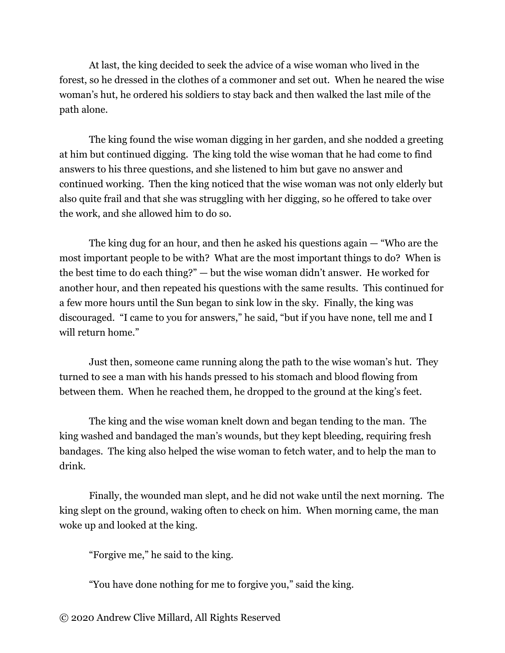At last, the king decided to seek the advice of a wise woman who lived in the forest, so he dressed in the clothes of a commoner and set out. When he neared the wise woman's hut, he ordered his soldiers to stay back and then walked the last mile of the path alone.

The king found the wise woman digging in her garden, and she nodded a greeting at him but continued digging. The king told the wise woman that he had come to find answers to his three questions, and she listened to him but gave no answer and continued working. Then the king noticed that the wise woman was not only elderly but also quite frail and that she was struggling with her digging, so he offered to take over the work, and she allowed him to do so.

The king dug for an hour, and then he asked his questions again — "Who are the most important people to be with? What are the most important things to do? When is the best time to do each thing?" — but the wise woman didn't answer. He worked for another hour, and then repeated his questions with the same results. This continued for a few more hours until the Sun began to sink low in the sky. Finally, the king was discouraged. "I came to you for answers," he said, "but if you have none, tell me and I will return home."

Just then, someone came running along the path to the wise woman's hut. They turned to see a man with his hands pressed to his stomach and blood flowing from between them. When he reached them, he dropped to the ground at the king's feet.

The king and the wise woman knelt down and began tending to the man. The king washed and bandaged the man's wounds, but they kept bleeding, requiring fresh bandages. The king also helped the wise woman to fetch water, and to help the man to drink.

Finally, the wounded man slept, and he did not wake until the next morning. The king slept on the ground, waking often to check on him. When morning came, the man woke up and looked at the king.

"Forgive me," he said to the king.

"You have done nothing for me to forgive you," said the king.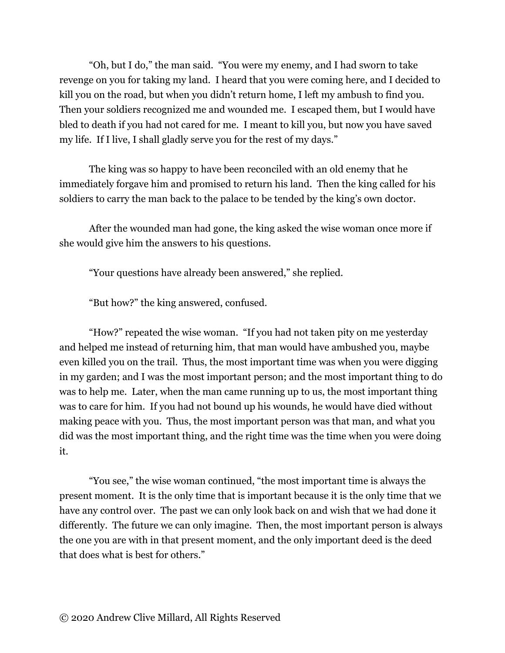"Oh, but I do," the man said. "You were my enemy, and I had sworn to take revenge on you for taking my land. I heard that you were coming here, and I decided to kill you on the road, but when you didn't return home, I left my ambush to find you. Then your soldiers recognized me and wounded me. I escaped them, but I would have bled to death if you had not cared for me. I meant to kill you, but now you have saved my life. If I live, I shall gladly serve you for the rest of my days."

The king was so happy to have been reconciled with an old enemy that he immediately forgave him and promised to return his land. Then the king called for his soldiers to carry the man back to the palace to be tended by the king's own doctor.

After the wounded man had gone, the king asked the wise woman once more if she would give him the answers to his questions.

"Your questions have already been answered," she replied.

"But how?" the king answered, confused.

"How?" repeated the wise woman. "If you had not taken pity on me yesterday and helped me instead of returning him, that man would have ambushed you, maybe even killed you on the trail. Thus, the most important time was when you were digging in my garden; and I was the most important person; and the most important thing to do was to help me. Later, when the man came running up to us, the most important thing was to care for him. If you had not bound up his wounds, he would have died without making peace with you. Thus, the most important person was that man, and what you did was the most important thing, and the right time was the time when you were doing it.

"You see," the wise woman continued, "the most important time is always the present moment. It is the only time that is important because it is the only time that we have any control over. The past we can only look back on and wish that we had done it differently. The future we can only imagine. Then, the most important person is always the one you are with in that present moment, and the only important deed is the deed that does what is best for others."